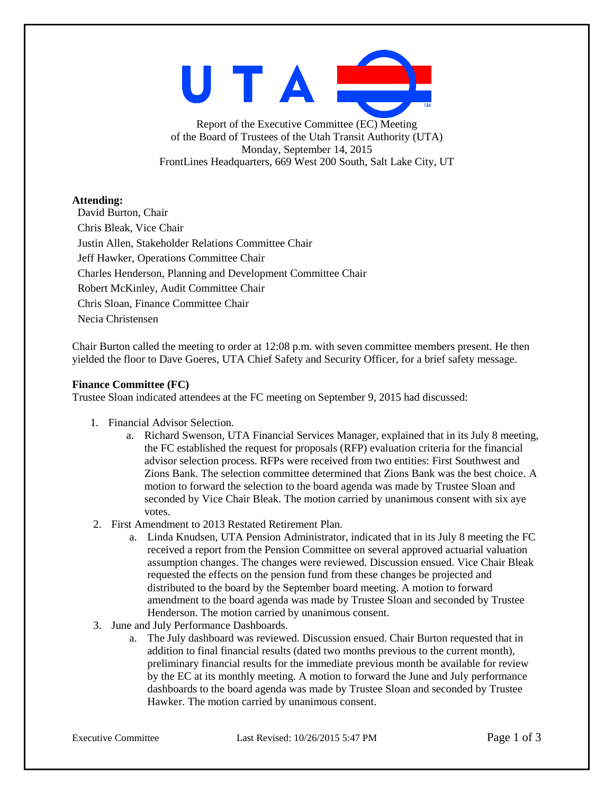UTA

Report of the Executive Committee (EC) Meeting of the Board of Trustees of the Utah Transit Authority (UTA) Monday, September 14, 2015 FrontLines Headquarters, 669 West 200 South, Salt Lake City, UT

### **Attending:**

David Burton, Chair Chris Bleak, Vice Chair Justin Allen, Stakeholder Relations Committee Chair Jeff Hawker, Operations Committee Chair Charles Henderson, Planning and Development Committee Chair Robert McKinley, Audit Committee Chair Chris Sloan, Finance Committee Chair Necia Christensen

Chair Burton called the meeting to order at 12:08 p.m. with seven committee members present. He then yielded the floor to Dave Goeres, UTA Chief Safety and Security Officer, for a brief safety message.

### **Finance Committee (FC)**

Trustee Sloan indicated attendees at the FC meeting on September 9, 2015 had discussed:

- 1. Financial Advisor Selection.
	- a. Richard Swenson, UTA Financial Services Manager, explained that in its July 8 meeting, the FC established the request for proposals (RFP) evaluation criteria for the financial advisor selection process. RFPs were received from two entities: First Southwest and Zions Bank. The selection committee determined that Zions Bank was the best choice. A motion to forward the selection to the board agenda was made by Trustee Sloan and seconded by Vice Chair Bleak. The motion carried by unanimous consent with six aye votes.
- 2. First Amendment to 2013 Restated Retirement Plan.
	- a. Linda Knudsen, UTA Pension Administrator, indicated that in its July 8 meeting the FC received a report from the Pension Committee on several approved actuarial valuation assumption changes. The changes were reviewed. Discussion ensued. Vice Chair Bleak requested the effects on the pension fund from these changes be projected and distributed to the board by the September board meeting. A motion to forward amendment to the board agenda was made by Trustee Sloan and seconded by Trustee Henderson. The motion carried by unanimous consent.
- 3. June and July Performance Dashboards.
	- a. The July dashboard was reviewed. Discussion ensued. Chair Burton requested that in addition to final financial results (dated two months previous to the current month), preliminary financial results for the immediate previous month be available for review by the EC at its monthly meeting. A motion to forward the June and July performance dashboards to the board agenda was made by Trustee Sloan and seconded by Trustee Hawker. The motion carried by unanimous consent.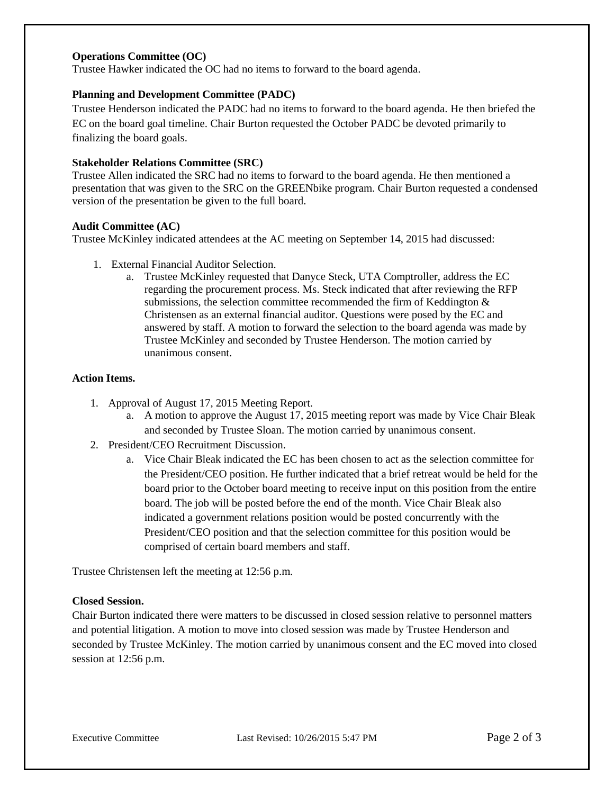# **Operations Committee (OC)**

Trustee Hawker indicated the OC had no items to forward to the board agenda.

#### **Planning and Development Committee (PADC)**

Trustee Henderson indicated the PADC had no items to forward to the board agenda. He then briefed the EC on the board goal timeline. Chair Burton requested the October PADC be devoted primarily to finalizing the board goals.

#### **Stakeholder Relations Committee (SRC)**

Trustee Allen indicated the SRC had no items to forward to the board agenda. He then mentioned a presentation that was given to the SRC on the GREENbike program. Chair Burton requested a condensed version of the presentation be given to the full board.

#### **Audit Committee (AC)**

Trustee McKinley indicated attendees at the AC meeting on September 14, 2015 had discussed:

- 1. External Financial Auditor Selection.
	- a. Trustee McKinley requested that Danyce Steck, UTA Comptroller, address the EC regarding the procurement process. Ms. Steck indicated that after reviewing the RFP submissions, the selection committee recommended the firm of Keddington & Christensen as an external financial auditor. Questions were posed by the EC and answered by staff. A motion to forward the selection to the board agenda was made by Trustee McKinley and seconded by Trustee Henderson. The motion carried by unanimous consent.

#### **Action Items.**

- 1. Approval of August 17, 2015 Meeting Report.
	- a. A motion to approve the August 17, 2015 meeting report was made by Vice Chair Bleak and seconded by Trustee Sloan. The motion carried by unanimous consent.
- 2. President/CEO Recruitment Discussion.
	- a. Vice Chair Bleak indicated the EC has been chosen to act as the selection committee for the President/CEO position. He further indicated that a brief retreat would be held for the board prior to the October board meeting to receive input on this position from the entire board. The job will be posted before the end of the month. Vice Chair Bleak also indicated a government relations position would be posted concurrently with the President/CEO position and that the selection committee for this position would be comprised of certain board members and staff.

Trustee Christensen left the meeting at 12:56 p.m.

### **Closed Session.**

Chair Burton indicated there were matters to be discussed in closed session relative to personnel matters and potential litigation. A motion to move into closed session was made by Trustee Henderson and seconded by Trustee McKinley. The motion carried by unanimous consent and the EC moved into closed session at 12:56 p.m.